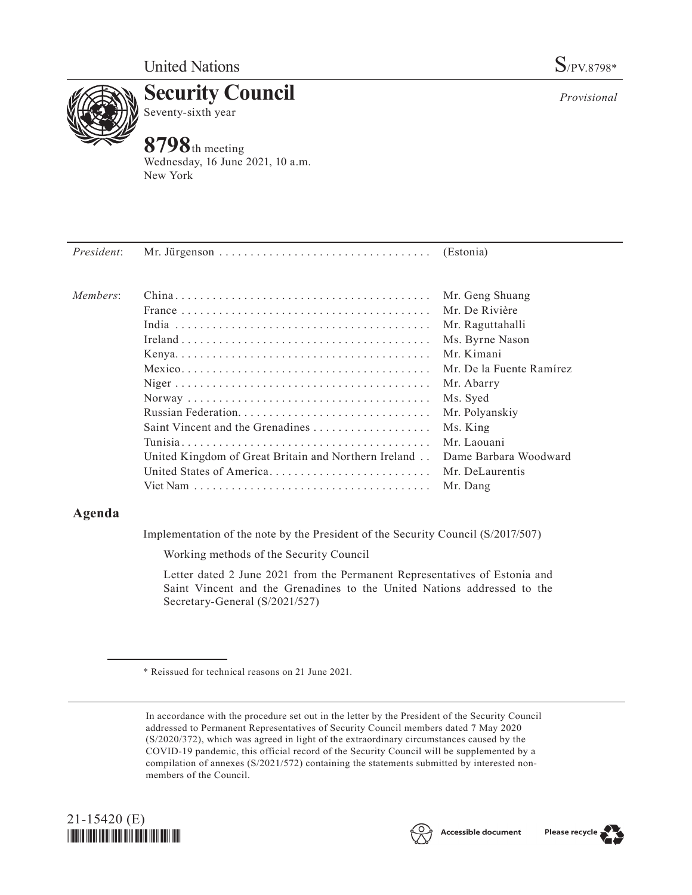

**Security Council** Seventy-sixth year

# **8798**th meeting

Wednesday, 16 June 2021, 10 a.m. New York

| President: |                                                      |                          |
|------------|------------------------------------------------------|--------------------------|
| Members:   |                                                      | Mr. Geng Shuang          |
|            |                                                      | Mr. De Rivière           |
|            |                                                      | Mr. Raguttahalli         |
|            |                                                      | Ms. Byrne Nason          |
|            |                                                      | Mr. Kimani               |
|            |                                                      | Mr. De la Fuente Ramírez |
|            |                                                      | Mr. Abarry               |
|            |                                                      | Ms. Syed                 |
|            |                                                      | Mr. Polyanskiy           |
|            | Saint Vincent and the Grenadines                     | Ms. King                 |
|            |                                                      | Mr. Laouani              |
|            | United Kingdom of Great Britain and Northern Ireland | Dame Barbara Woodward    |
|            | United States of America Mr. DeLaurentis             |                          |

## **Agenda**

Implementation of the note by the President of the Security Council (S/2017/507)

Viet Nam. . Mr. Dang

Working methods of the Security Council

Letter dated 2 June 2021 from the Permanent Representatives of Estonia and Saint Vincent and the Grenadines to the United Nations addressed to the Secretary-General (S/2021/527)

In accordance with the procedure set out in the letter by the President of the Security Council addressed to Permanent Representatives of Security Council members dated 7 May 2020 (S/2020/372), which was agreed in light of the extraordinary circumstances caused by the COVID-19 pandemic, this official record of the Security Council will be supplemented by a compilation of annexes (S/2021/572) containing the statements submitted by interested nonmembers of the Council.







*Provisional*

<sup>\*</sup> Reissued for technical reasons on 21 June 2021.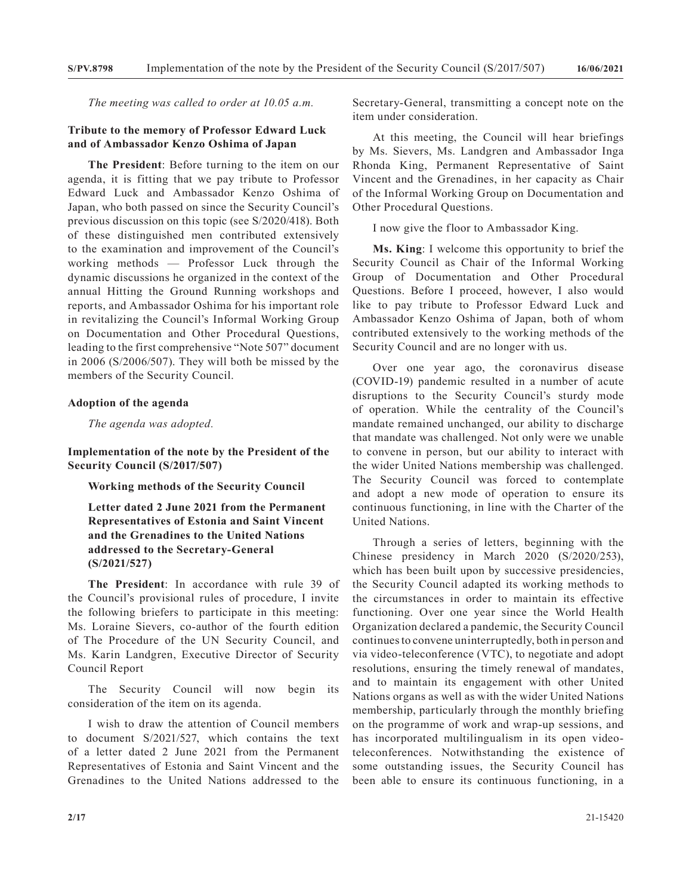*The meeting was called to order at 10.05 a.m.*

#### **Tribute to the memory of Professor Edward Luck and of Ambassador Kenzo Oshima of Japan**

**The President**: Before turning to the item on our agenda, it is fitting that we pay tribute to Professor Edward Luck and Ambassador Kenzo Oshima of Japan, who both passed on since the Security Council's previous discussion on this topic (see S/2020/418). Both of these distinguished men contributed extensively to the examination and improvement of the Council's working methods — Professor Luck through the dynamic discussions he organized in the context of the annual Hitting the Ground Running workshops and reports, and Ambassador Oshima for his important role in revitalizing the Council's Informal Working Group on Documentation and Other Procedural Questions, leading to the first comprehensive "Note 507" document in 2006 (S/2006/507). They will both be missed by the members of the Security Council.

#### **Adoption of the agenda**

*The agenda was adopted.*

### **Implementation of the note by the President of the Security Council (S/2017/507)**

**Working methods of the Security Council**

**Letter dated 2 June 2021 from the Permanent Representatives of Estonia and Saint Vincent and the Grenadines to the United Nations addressed to the Secretary-General (S/2021/527)**

**The President**: In accordance with rule 39 of the Council's provisional rules of procedure, I invite the following briefers to participate in this meeting: Ms. Loraine Sievers, co-author of the fourth edition of The Procedure of the UN Security Council, and Ms. Karin Landgren, Executive Director of Security Council Report

The Security Council will now begin its consideration of the item on its agenda.

I wish to draw the attention of Council members to document S/2021/527, which contains the text of a letter dated 2 June 2021 from the Permanent Representatives of Estonia and Saint Vincent and the Grenadines to the United Nations addressed to the

Secretary-General, transmitting a concept note on the item under consideration.

At this meeting, the Council will hear briefings by Ms. Sievers, Ms. Landgren and Ambassador Inga Rhonda King, Permanent Representative of Saint Vincent and the Grenadines, in her capacity as Chair of the Informal Working Group on Documentation and Other Procedural Questions.

I now give the floor to Ambassador King.

**Ms. King**: I welcome this opportunity to brief the Security Council as Chair of the Informal Working Group of Documentation and Other Procedural Questions. Before I proceed, however, I also would like to pay tribute to Professor Edward Luck and Ambassador Kenzo Oshima of Japan, both of whom contributed extensively to the working methods of the Security Council and are no longer with us.

Over one year ago, the coronavirus disease (COVID-19) pandemic resulted in a number of acute disruptions to the Security Council's sturdy mode of operation. While the centrality of the Council's mandate remained unchanged, our ability to discharge that mandate was challenged. Not only were we unable to convene in person, but our ability to interact with the wider United Nations membership was challenged. The Security Council was forced to contemplate and adopt a new mode of operation to ensure its continuous functioning, in line with the Charter of the United Nations.

Through a series of letters, beginning with the Chinese presidency in March 2020 (S/2020/253), which has been built upon by successive presidencies, the Security Council adapted its working methods to the circumstances in order to maintain its effective functioning. Over one year since the World Health Organization declared a pandemic, the Security Council continues to convene uninterruptedly, both in person and via video-teleconference (VTC), to negotiate and adopt resolutions, ensuring the timely renewal of mandates, and to maintain its engagement with other United Nations organs as well as with the wider United Nations membership, particularly through the monthly briefing on the programme of work and wrap-up sessions, and has incorporated multilingualism in its open videoteleconferences. Notwithstanding the existence of some outstanding issues, the Security Council has been able to ensure its continuous functioning, in a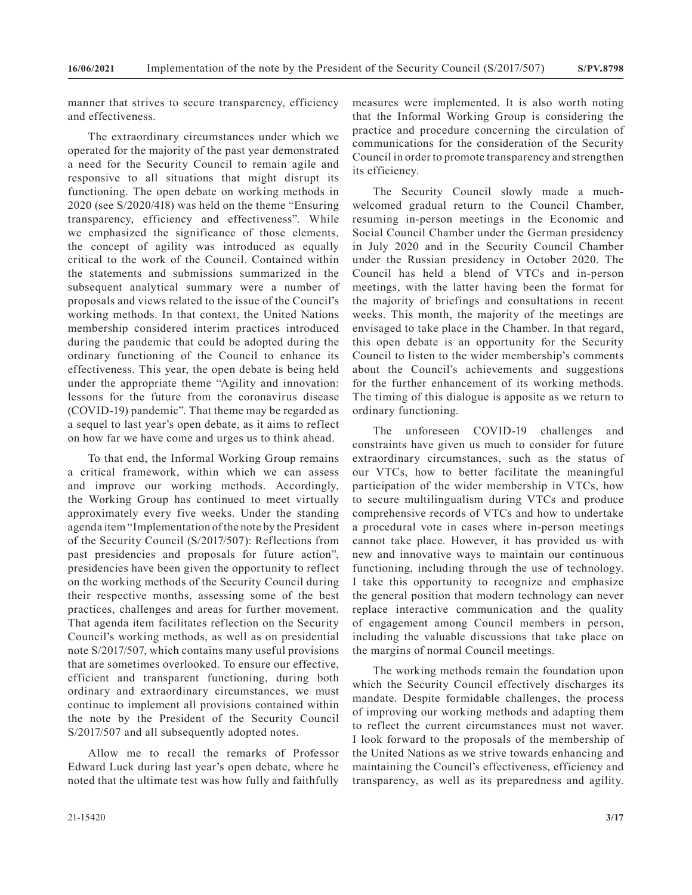manner that strives to secure transparency, efficiency and effectiveness.

The extraordinary circumstances under which we operated for the majority of the past year demonstrated a need for the Security Council to remain agile and responsive to all situations that might disrupt its functioning. The open debate on working methods in 2020 (see S/2020/418) was held on the theme "Ensuring transparency, efficiency and effectiveness". While we emphasized the significance of those elements, the concept of agility was introduced as equally critical to the work of the Council. Contained within the statements and submissions summarized in the subsequent analytical summary were a number of proposals and views related to the issue of the Council's working methods. In that context, the United Nations membership considered interim practices introduced during the pandemic that could be adopted during the ordinary functioning of the Council to enhance its effectiveness. This year, the open debate is being held under the appropriate theme "Agility and innovation: lessons for the future from the coronavirus disease (COVID-19) pandemic". That theme may be regarded as a sequel to last year's open debate, as it aims to reflect on how far we have come and urges us to think ahead.

To that end, the Informal Working Group remains a critical framework, within which we can assess and improve our working methods. Accordingly, the Working Group has continued to meet virtually approximately every five weeks. Under the standing agenda item "Implementation of the note by the President of the Security Council (S/2017/507): Reflections from past presidencies and proposals for future action", presidencies have been given the opportunity to reflect on the working methods of the Security Council during their respective months, assessing some of the best practices, challenges and areas for further movement. That agenda item facilitates reflection on the Security Council's working methods, as well as on presidential note S/2017/507, which contains many useful provisions that are sometimes overlooked. To ensure our effective, efficient and transparent functioning, during both ordinary and extraordinary circumstances, we must continue to implement all provisions contained within the note by the President of the Security Council S/2017/507 and all subsequently adopted notes.

Allow me to recall the remarks of Professor Edward Luck during last year's open debate, where he noted that the ultimate test was how fully and faithfully measures were implemented. It is also worth noting that the Informal Working Group is considering the practice and procedure concerning the circulation of communications for the consideration of the Security Council in order to promote transparency and strengthen its efficiency.

The Security Council slowly made a muchwelcomed gradual return to the Council Chamber, resuming in-person meetings in the Economic and Social Council Chamber under the German presidency in July 2020 and in the Security Council Chamber under the Russian presidency in October 2020. The Council has held a blend of VTCs and in-person meetings, with the latter having been the format for the majority of briefings and consultations in recent weeks. This month, the majority of the meetings are envisaged to take place in the Chamber. In that regard, this open debate is an opportunity for the Security Council to listen to the wider membership's comments about the Council's achievements and suggestions for the further enhancement of its working methods. The timing of this dialogue is apposite as we return to ordinary functioning.

The unforeseen COVID-19 challenges and constraints have given us much to consider for future extraordinary circumstances, such as the status of our VTCs, how to better facilitate the meaningful participation of the wider membership in VTCs, how to secure multilingualism during VTCs and produce comprehensive records of VTCs and how to undertake a procedural vote in cases where in-person meetings cannot take place. However, it has provided us with new and innovative ways to maintain our continuous functioning, including through the use of technology. I take this opportunity to recognize and emphasize the general position that modern technology can never replace interactive communication and the quality of engagement among Council members in person, including the valuable discussions that take place on the margins of normal Council meetings.

The working methods remain the foundation upon which the Security Council effectively discharges its mandate. Despite formidable challenges, the process of improving our working methods and adapting them to reflect the current circumstances must not waver. I look forward to the proposals of the membership of the United Nations as we strive towards enhancing and maintaining the Council's effectiveness, efficiency and transparency, as well as its preparedness and agility.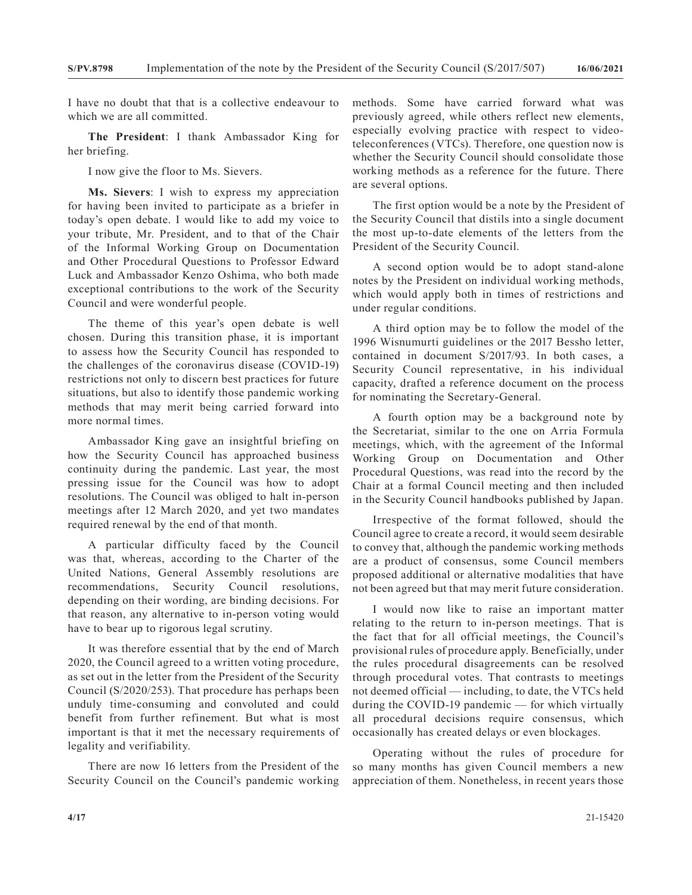I have no doubt that that is a collective endeavour to which we are all committed.

**The President**: I thank Ambassador King for her briefing.

I now give the floor to Ms. Sievers.

**Ms. Sievers**: I wish to express my appreciation for having been invited to participate as a briefer in today's open debate. I would like to add my voice to your tribute, Mr. President, and to that of the Chair of the Informal Working Group on Documentation and Other Procedural Questions to Professor Edward Luck and Ambassador Kenzo Oshima, who both made exceptional contributions to the work of the Security Council and were wonderful people.

The theme of this year's open debate is well chosen. During this transition phase, it is important to assess how the Security Council has responded to the challenges of the coronavirus disease (COVID-19) restrictions not only to discern best practices for future situations, but also to identify those pandemic working methods that may merit being carried forward into more normal times.

Ambassador King gave an insightful briefing on how the Security Council has approached business continuity during the pandemic. Last year, the most pressing issue for the Council was how to adopt resolutions. The Council was obliged to halt in-person meetings after 12 March 2020, and yet two mandates required renewal by the end of that month.

A particular difficulty faced by the Council was that, whereas, according to the Charter of the United Nations, General Assembly resolutions are recommendations, Security Council resolutions, depending on their wording, are binding decisions. For that reason, any alternative to in-person voting would have to bear up to rigorous legal scrutiny.

It was therefore essential that by the end of March 2020, the Council agreed to a written voting procedure, as set out in the letter from the President of the Security Council (S/2020/253). That procedure has perhaps been unduly time-consuming and convoluted and could benefit from further refinement. But what is most important is that it met the necessary requirements of legality and verifiability.

There are now 16 letters from the President of the Security Council on the Council's pandemic working methods. Some have carried forward what was previously agreed, while others reflect new elements, especially evolving practice with respect to videoteleconferences (VTCs). Therefore, one question now is whether the Security Council should consolidate those working methods as a reference for the future. There are several options.

The first option would be a note by the President of the Security Council that distils into a single document the most up-to-date elements of the letters from the President of the Security Council.

A second option would be to adopt stand-alone notes by the President on individual working methods, which would apply both in times of restrictions and under regular conditions.

A third option may be to follow the model of the 1996 Wisnumurti guidelines or the 2017 Bessho letter, contained in document S/2017/93. In both cases, a Security Council representative, in his individual capacity, drafted a reference document on the process for nominating the Secretary-General.

A fourth option may be a background note by the Secretariat, similar to the one on Arria Formula meetings, which, with the agreement of the Informal Working Group on Documentation and Other Procedural Questions, was read into the record by the Chair at a formal Council meeting and then included in the Security Council handbooks published by Japan.

Irrespective of the format followed, should the Council agree to create a record, it would seem desirable to convey that, although the pandemic working methods are a product of consensus, some Council members proposed additional or alternative modalities that have not been agreed but that may merit future consideration.

I would now like to raise an important matter relating to the return to in-person meetings. That is the fact that for all official meetings, the Council's provisional rules of procedure apply. Beneficially, under the rules procedural disagreements can be resolved through procedural votes. That contrasts to meetings not deemed official — including, to date, the VTCs held during the COVID-19 pandemic — for which virtually all procedural decisions require consensus, which occasionally has created delays or even blockages.

Operating without the rules of procedure for so many months has given Council members a new appreciation of them. Nonetheless, in recent years those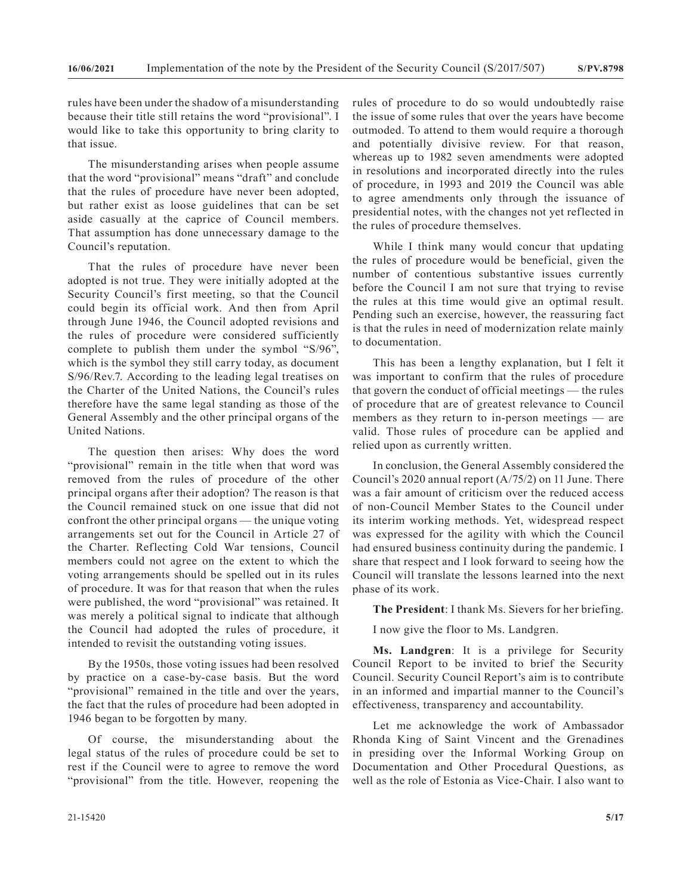rules have been under the shadow of a misunderstanding because their title still retains the word "provisional". I would like to take this opportunity to bring clarity to that issue.

The misunderstanding arises when people assume that the word "provisional" means "draft" and conclude that the rules of procedure have never been adopted, but rather exist as loose guidelines that can be set aside casually at the caprice of Council members. That assumption has done unnecessary damage to the Council's reputation.

That the rules of procedure have never been adopted is not true. They were initially adopted at the Security Council's first meeting, so that the Council could begin its official work. And then from April through June 1946, the Council adopted revisions and the rules of procedure were considered sufficiently complete to publish them under the symbol "S/96", which is the symbol they still carry today, as document S/96/Rev.7. According to the leading legal treatises on the Charter of the United Nations, the Council's rules therefore have the same legal standing as those of the General Assembly and the other principal organs of the United Nations.

The question then arises: Why does the word "provisional" remain in the title when that word was removed from the rules of procedure of the other principal organs after their adoption? The reason is that the Council remained stuck on one issue that did not confront the other principal organs — the unique voting arrangements set out for the Council in Article 27 of the Charter. Reflecting Cold War tensions, Council members could not agree on the extent to which the voting arrangements should be spelled out in its rules of procedure. It was for that reason that when the rules were published, the word "provisional" was retained. It was merely a political signal to indicate that although the Council had adopted the rules of procedure, it intended to revisit the outstanding voting issues.

By the 1950s, those voting issues had been resolved by practice on a case-by-case basis. But the word "provisional" remained in the title and over the years, the fact that the rules of procedure had been adopted in 1946 began to be forgotten by many.

Of course, the misunderstanding about the legal status of the rules of procedure could be set to rest if the Council were to agree to remove the word "provisional" from the title. However, reopening the rules of procedure to do so would undoubtedly raise the issue of some rules that over the years have become outmoded. To attend to them would require a thorough and potentially divisive review. For that reason, whereas up to 1982 seven amendments were adopted in resolutions and incorporated directly into the rules of procedure, in 1993 and 2019 the Council was able to agree amendments only through the issuance of presidential notes, with the changes not yet reflected in the rules of procedure themselves.

While I think many would concur that updating the rules of procedure would be beneficial, given the number of contentious substantive issues currently before the Council I am not sure that trying to revise the rules at this time would give an optimal result. Pending such an exercise, however, the reassuring fact is that the rules in need of modernization relate mainly to documentation.

This has been a lengthy explanation, but I felt it was important to confirm that the rules of procedure that govern the conduct of official meetings — the rules of procedure that are of greatest relevance to Council members as they return to in-person meetings — are valid. Those rules of procedure can be applied and relied upon as currently written.

In conclusion, the General Assembly considered the Council's 2020 annual report (A/75/2) on 11 June. There was a fair amount of criticism over the reduced access of non-Council Member States to the Council under its interim working methods. Yet, widespread respect was expressed for the agility with which the Council had ensured business continuity during the pandemic. I share that respect and I look forward to seeing how the Council will translate the lessons learned into the next phase of its work.

**The President**: I thank Ms. Sievers for her briefing.

I now give the floor to Ms. Landgren.

**Ms. Landgren**: It is a privilege for Security Council Report to be invited to brief the Security Council. Security Council Report's aim is to contribute in an informed and impartial manner to the Council's effectiveness, transparency and accountability.

Let me acknowledge the work of Ambassador Rhonda King of Saint Vincent and the Grenadines in presiding over the Informal Working Group on Documentation and Other Procedural Questions, as well as the role of Estonia as Vice-Chair. I also want to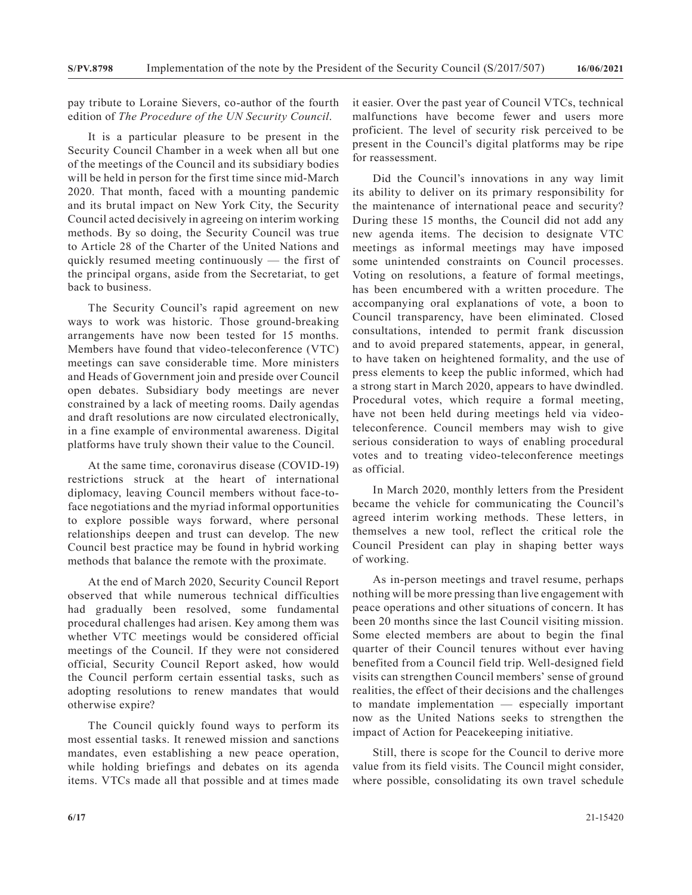pay tribute to Loraine Sievers, co-author of the fourth edition of *The Procedure of the UN Security Council*.

It is a particular pleasure to be present in the Security Council Chamber in a week when all but one of the meetings of the Council and its subsidiary bodies will be held in person for the first time since mid-March 2020. That month, faced with a mounting pandemic and its brutal impact on New York City, the Security Council acted decisively in agreeing on interim working methods. By so doing, the Security Council was true to Article 28 of the Charter of the United Nations and quickly resumed meeting continuously — the first of the principal organs, aside from the Secretariat, to get back to business.

The Security Council's rapid agreement on new ways to work was historic. Those ground-breaking arrangements have now been tested for 15 months. Members have found that video-teleconference (VTC) meetings can save considerable time. More ministers and Heads of Government join and preside over Council open debates. Subsidiary body meetings are never constrained by a lack of meeting rooms. Daily agendas and draft resolutions are now circulated electronically, in a fine example of environmental awareness. Digital platforms have truly shown their value to the Council.

At the same time, coronavirus disease (COVID-19) restrictions struck at the heart of international diplomacy, leaving Council members without face-toface negotiations and the myriad informal opportunities to explore possible ways forward, where personal relationships deepen and trust can develop. The new Council best practice may be found in hybrid working methods that balance the remote with the proximate.

At the end of March 2020, Security Council Report observed that while numerous technical difficulties had gradually been resolved, some fundamental procedural challenges had arisen. Key among them was whether VTC meetings would be considered official meetings of the Council. If they were not considered official, Security Council Report asked, how would the Council perform certain essential tasks, such as adopting resolutions to renew mandates that would otherwise expire?

The Council quickly found ways to perform its most essential tasks. It renewed mission and sanctions mandates, even establishing a new peace operation, while holding briefings and debates on its agenda items. VTCs made all that possible and at times made it easier. Over the past year of Council VTCs, technical malfunctions have become fewer and users more proficient. The level of security risk perceived to be present in the Council's digital platforms may be ripe for reassessment.

Did the Council's innovations in any way limit its ability to deliver on its primary responsibility for the maintenance of international peace and security? During these 15 months, the Council did not add any new agenda items. The decision to designate VTC meetings as informal meetings may have imposed some unintended constraints on Council processes. Voting on resolutions, a feature of formal meetings, has been encumbered with a written procedure. The accompanying oral explanations of vote, a boon to Council transparency, have been eliminated. Closed consultations, intended to permit frank discussion and to avoid prepared statements, appear, in general, to have taken on heightened formality, and the use of press elements to keep the public informed, which had a strong start in March 2020, appears to have dwindled. Procedural votes, which require a formal meeting, have not been held during meetings held via videoteleconference. Council members may wish to give serious consideration to ways of enabling procedural votes and to treating video-teleconference meetings as official.

In March 2020, monthly letters from the President became the vehicle for communicating the Council's agreed interim working methods. These letters, in themselves a new tool, reflect the critical role the Council President can play in shaping better ways of working.

As in-person meetings and travel resume, perhaps nothing will be more pressing than live engagement with peace operations and other situations of concern. It has been 20 months since the last Council visiting mission. Some elected members are about to begin the final quarter of their Council tenures without ever having benefited from a Council field trip. Well-designed field visits can strengthen Council members' sense of ground realities, the effect of their decisions and the challenges to mandate implementation — especially important now as the United Nations seeks to strengthen the impact of Action for Peacekeeping initiative.

Still, there is scope for the Council to derive more value from its field visits. The Council might consider, where possible, consolidating its own travel schedule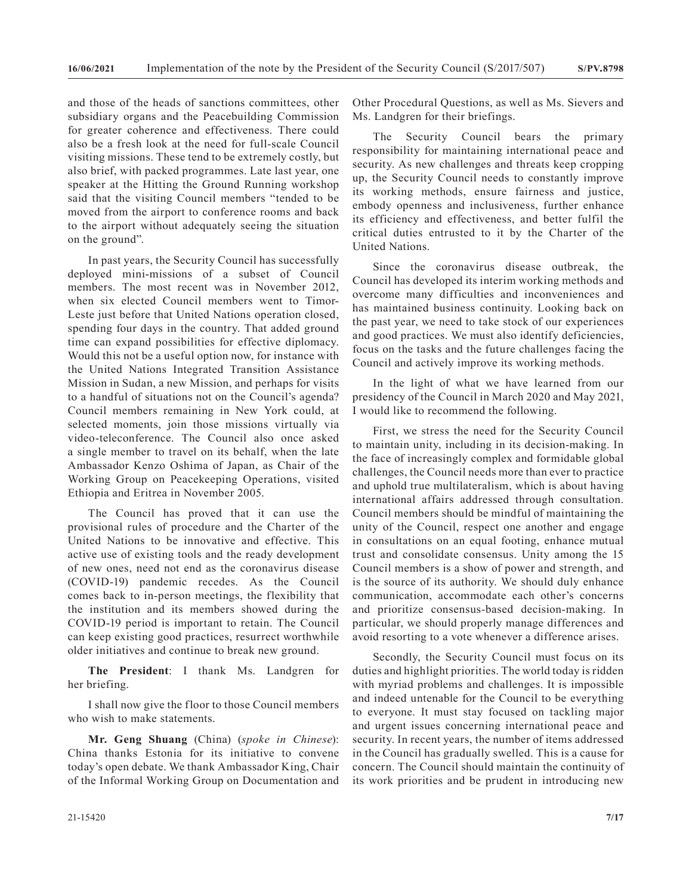and those of the heads of sanctions committees, other subsidiary organs and the Peacebuilding Commission for greater coherence and effectiveness. There could also be a fresh look at the need for full-scale Council visiting missions. These tend to be extremely costly, but also brief, with packed programmes. Late last year, one speaker at the Hitting the Ground Running workshop said that the visiting Council members "tended to be moved from the airport to conference rooms and back to the airport without adequately seeing the situation on the ground".

In past years, the Security Council has successfully deployed mini-missions of a subset of Council members. The most recent was in November 2012, when six elected Council members went to Timor-Leste just before that United Nations operation closed, spending four days in the country. That added ground time can expand possibilities for effective diplomacy. Would this not be a useful option now, for instance with the United Nations Integrated Transition Assistance Mission in Sudan, a new Mission, and perhaps for visits to a handful of situations not on the Council's agenda? Council members remaining in New York could, at selected moments, join those missions virtually via video-teleconference. The Council also once asked a single member to travel on its behalf, when the late Ambassador Kenzo Oshima of Japan, as Chair of the Working Group on Peacekeeping Operations, visited Ethiopia and Eritrea in November 2005.

The Council has proved that it can use the provisional rules of procedure and the Charter of the United Nations to be innovative and effective. This active use of existing tools and the ready development of new ones, need not end as the coronavirus disease (COVID-19) pandemic recedes. As the Council comes back to in-person meetings, the flexibility that the institution and its members showed during the COVID-19 period is important to retain. The Council can keep existing good practices, resurrect worthwhile older initiatives and continue to break new ground.

**The President**: I thank Ms. Landgren for her briefing.

I shall now give the floor to those Council members who wish to make statements.

**Mr. Geng Shuang** (China) (*spoke in Chinese*): China thanks Estonia for its initiative to convene today's open debate. We thank Ambassador King, Chair of the Informal Working Group on Documentation and

21-15420 **7/17**

Other Procedural Questions, as well as Ms. Sievers and Ms. Landgren for their briefings.

The Security Council bears the primary responsibility for maintaining international peace and security. As new challenges and threats keep cropping up, the Security Council needs to constantly improve its working methods, ensure fairness and justice, embody openness and inclusiveness, further enhance its efficiency and effectiveness, and better fulfil the critical duties entrusted to it by the Charter of the United Nations.

Since the coronavirus disease outbreak, the Council has developed its interim working methods and overcome many difficulties and inconveniences and has maintained business continuity. Looking back on the past year, we need to take stock of our experiences and good practices. We must also identify deficiencies, focus on the tasks and the future challenges facing the Council and actively improve its working methods.

In the light of what we have learned from our presidency of the Council in March 2020 and May 2021, I would like to recommend the following.

First, we stress the need for the Security Council to maintain unity, including in its decision-making. In the face of increasingly complex and formidable global challenges, the Council needs more than ever to practice and uphold true multilateralism, which is about having international affairs addressed through consultation. Council members should be mindful of maintaining the unity of the Council, respect one another and engage in consultations on an equal footing, enhance mutual trust and consolidate consensus. Unity among the 15 Council members is a show of power and strength, and is the source of its authority. We should duly enhance communication, accommodate each other's concerns and prioritize consensus-based decision-making. In particular, we should properly manage differences and avoid resorting to a vote whenever a difference arises.

Secondly, the Security Council must focus on its duties and highlight priorities. The world today is ridden with myriad problems and challenges. It is impossible and indeed untenable for the Council to be everything to everyone. It must stay focused on tackling major and urgent issues concerning international peace and security. In recent years, the number of items addressed in the Council has gradually swelled. This is a cause for concern. The Council should maintain the continuity of its work priorities and be prudent in introducing new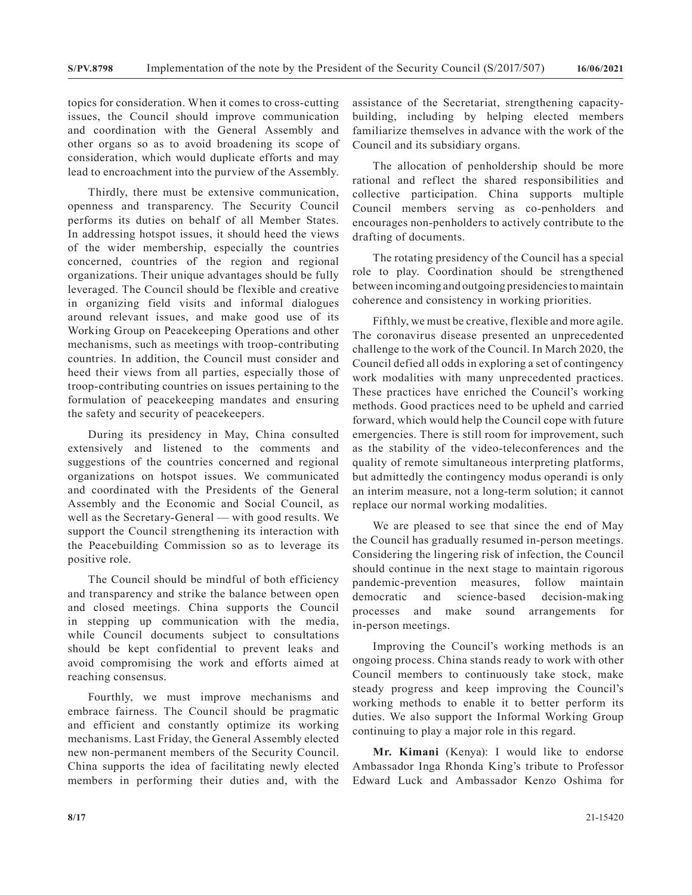topics for consideration. When it comes to cross-cutting issues, the Council should improve communication and coordination with the General Assembly and other organs so as to avoid broadening its scope of consideration, which would duplicate efforts and may lead to encroachment into the purview of the Assembly.

Thirdly, there must be extensive communication, openness and transparency. The Security Council performs its duties on behalf of all Member States. In addressing hotspot issues, it should heed the views of the wider membership, especially the countries concerned, countries of the region and regional organizations. Their unique advantages should be fully leveraged. The Council should be flexible and creative in organizing field visits and informal dialogues around relevant issues, and make good use of its Working Group on Peacekeeping Operations and other mechanisms, such as meetings with troop-contributing countries. In addition, the Council must consider and heed their views from all parties, especially those of troop-contributing countries on issues pertaining to the formulation of peacekeeping mandates and ensuring the safety and security of peacekeepers.

During its presidency in May, China consulted extensively and listened to the comments and suggestions of the countries concerned and regional organizations on hotspot issues. We communicated and coordinated with the Presidents of the General Assembly and the Economic and Social Council, as well as the Secretary-General — with good results. We support the Council strengthening its interaction with the Peacebuilding Commission so as to leverage its positive role.

The Council should be mindful of both efficiency and transparency and strike the balance between open and closed meetings. China supports the Council in stepping up communication with the media, while Council documents subject to consultations should be kept confidential to prevent leaks and avoid compromising the work and efforts aimed at reaching consensus.

Fourthly, we must improve mechanisms and embrace fairness. The Council should be pragmatic and efficient and constantly optimize its working mechanisms. Last Friday, the General Assembly elected new non-permanent members of the Security Council. China supports the idea of facilitating newly elected members in performing their duties and, with the

assistance of the Secretariat, strengthening capacitybuilding, including by helping elected members familiarize themselves in advance with the work of the Council and its subsidiary organs.

The allocation of penholdership should be more rational and reflect the shared responsibilities and collective participation. China supports multiple Council members serving as co-penholders and encourages non-penholders to actively contribute to the drafting of documents.

The rotating presidency of the Council has a special role to play. Coordination should be strengthened between incoming and outgoing presidencies to maintain coherence and consistency in working priorities.

Fifthly, we must be creative, flexible and more agile. The coronavirus disease presented an unprecedented challenge to the work of the Council. In March 2020, the Council defied all odds in exploring a set of contingency work modalities with many unprecedented practices. These practices have enriched the Council's working methods. Good practices need to be upheld and carried forward, which would help the Council cope with future emergencies. There is still room for improvement, such as the stability of the video-teleconferences and the quality of remote simultaneous interpreting platforms, but admittedly the contingency modus operandi is only an interim measure, not a long-term solution; it cannot replace our normal working modalities.

We are pleased to see that since the end of May the Council has gradually resumed in-person meetings. Considering the lingering risk of infection, the Council should continue in the next stage to maintain rigorous pandemic-prevention measures, follow maintain democratic and science-based decision-making processes and make sound arrangements for in-person meetings.

Improving the Council's working methods is an ongoing process. China stands ready to work with other Council members to continuously take stock, make steady progress and keep improving the Council's working methods to enable it to better perform its duties. We also support the Informal Working Group continuing to play a major role in this regard.

**Mr. Kimani** (Kenya): I would like to endorse Ambassador Inga Rhonda King's tribute to Professor Edward Luck and Ambassador Kenzo Oshima for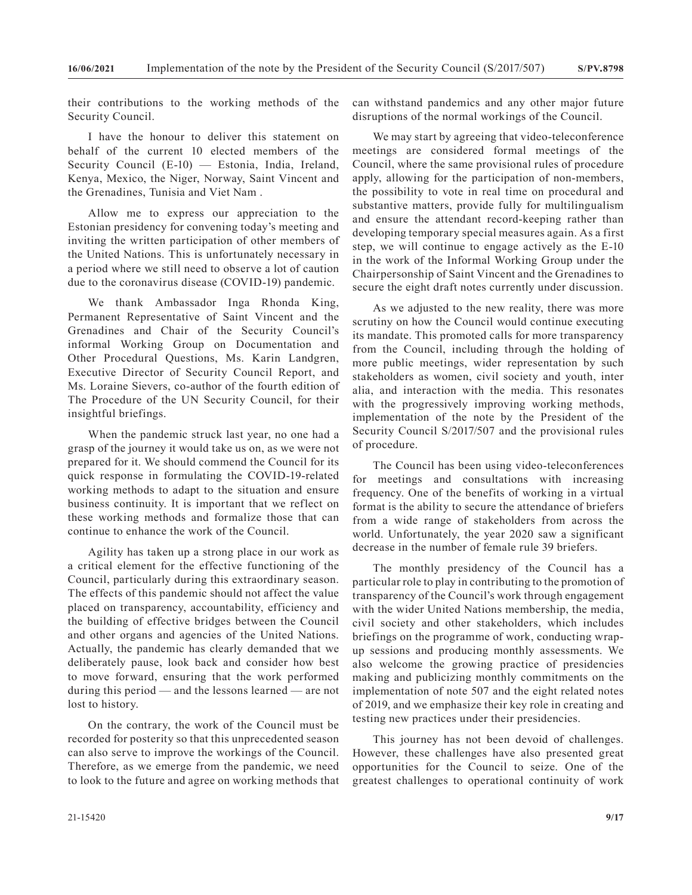their contributions to the working methods of the Security Council.

I have the honour to deliver this statement on behalf of the current 10 elected members of the Security Council (E-10) — Estonia, India, Ireland, Kenya, Mexico, the Niger, Norway, Saint Vincent and the Grenadines, Tunisia and Viet Nam .

Allow me to express our appreciation to the Estonian presidency for convening today's meeting and inviting the written participation of other members of the United Nations. This is unfortunately necessary in a period where we still need to observe a lot of caution due to the coronavirus disease (COVID-19) pandemic.

We thank Ambassador Inga Rhonda King, Permanent Representative of Saint Vincent and the Grenadines and Chair of the Security Council's informal Working Group on Documentation and Other Procedural Questions, Ms. Karin Landgren, Executive Director of Security Council Report, and Ms. Loraine Sievers, co-author of the fourth edition of The Procedure of the UN Security Council, for their insightful briefings.

When the pandemic struck last year, no one had a grasp of the journey it would take us on, as we were not prepared for it. We should commend the Council for its quick response in formulating the COVID-19-related working methods to adapt to the situation and ensure business continuity. It is important that we reflect on these working methods and formalize those that can continue to enhance the work of the Council.

Agility has taken up a strong place in our work as a critical element for the effective functioning of the Council, particularly during this extraordinary season. The effects of this pandemic should not affect the value placed on transparency, accountability, efficiency and the building of effective bridges between the Council and other organs and agencies of the United Nations. Actually, the pandemic has clearly demanded that we deliberately pause, look back and consider how best to move forward, ensuring that the work performed during this period — and the lessons learned — are not lost to history.

On the contrary, the work of the Council must be recorded for posterity so that this unprecedented season can also serve to improve the workings of the Council. Therefore, as we emerge from the pandemic, we need to look to the future and agree on working methods that

can withstand pandemics and any other major future disruptions of the normal workings of the Council.

We may start by agreeing that video-teleconference meetings are considered formal meetings of the Council, where the same provisional rules of procedure apply, allowing for the participation of non-members, the possibility to vote in real time on procedural and substantive matters, provide fully for multilingualism and ensure the attendant record-keeping rather than developing temporary special measures again. As a first step, we will continue to engage actively as the E-10 in the work of the Informal Working Group under the Chairpersonship of Saint Vincent and the Grenadines to secure the eight draft notes currently under discussion.

As we adjusted to the new reality, there was more scrutiny on how the Council would continue executing its mandate. This promoted calls for more transparency from the Council, including through the holding of more public meetings, wider representation by such stakeholders as women, civil society and youth, inter alia, and interaction with the media. This resonates with the progressively improving working methods, implementation of the note by the President of the Security Council S/2017/507 and the provisional rules of procedure.

The Council has been using video-teleconferences for meetings and consultations with increasing frequency. One of the benefits of working in a virtual format is the ability to secure the attendance of briefers from a wide range of stakeholders from across the world. Unfortunately, the year 2020 saw a significant decrease in the number of female rule 39 briefers.

The monthly presidency of the Council has a particular role to play in contributing to the promotion of transparency of the Council's work through engagement with the wider United Nations membership, the media, civil society and other stakeholders, which includes briefings on the programme of work, conducting wrapup sessions and producing monthly assessments. We also welcome the growing practice of presidencies making and publicizing monthly commitments on the implementation of note 507 and the eight related notes of 2019, and we emphasize their key role in creating and testing new practices under their presidencies.

This journey has not been devoid of challenges. However, these challenges have also presented great opportunities for the Council to seize. One of the greatest challenges to operational continuity of work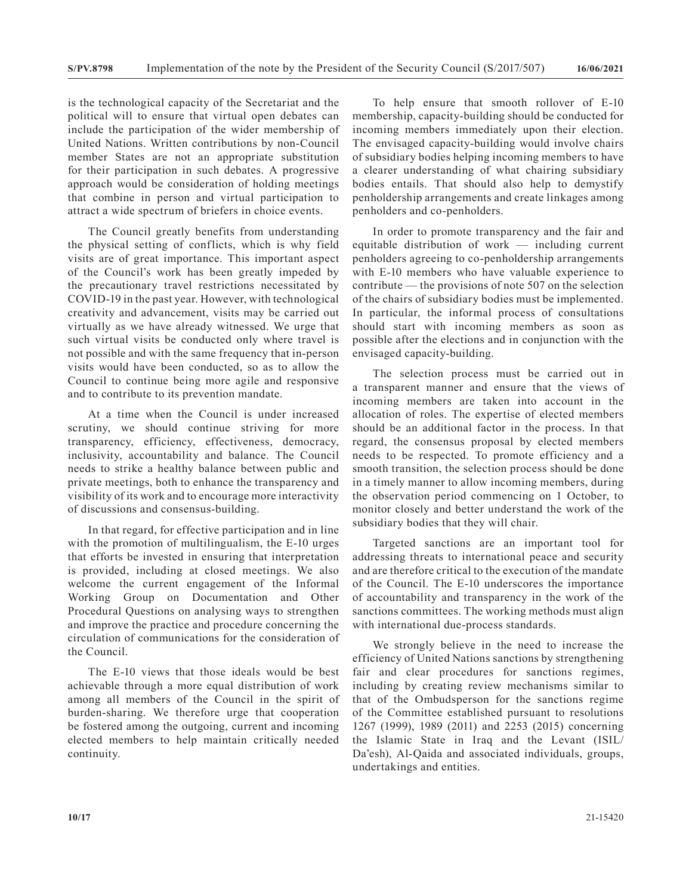is the technological capacity of the Secretariat and the political will to ensure that virtual open debates can include the participation of the wider membership of United Nations. Written contributions by non-Council member States are not an appropriate substitution for their participation in such debates. A progressive approach would be consideration of holding meetings that combine in person and virtual participation to attract a wide spectrum of briefers in choice events.

The Council greatly benefits from understanding the physical setting of conflicts, which is why field visits are of great importance. This important aspect of the Council's work has been greatly impeded by the precautionary travel restrictions necessitated by COVID-19 in the past year. However, with technological creativity and advancement, visits may be carried out virtually as we have already witnessed. We urge that such virtual visits be conducted only where travel is not possible and with the same frequency that in-person visits would have been conducted, so as to allow the Council to continue being more agile and responsive and to contribute to its prevention mandate.

At a time when the Council is under increased scrutiny, we should continue striving for more transparency, efficiency, effectiveness, democracy, inclusivity, accountability and balance. The Council needs to strike a healthy balance between public and private meetings, both to enhance the transparency and visibility of its work and to encourage more interactivity of discussions and consensus-building.

In that regard, for effective participation and in line with the promotion of multilingualism, the E-10 urges that efforts be invested in ensuring that interpretation is provided, including at closed meetings. We also welcome the current engagement of the Informal Working Group on Documentation and Other Procedural Questions on analysing ways to strengthen and improve the practice and procedure concerning the circulation of communications for the consideration of the Council.

The E-10 views that those ideals would be best achievable through a more equal distribution of work among all members of the Council in the spirit of burden-sharing. We therefore urge that cooperation be fostered among the outgoing, current and incoming elected members to help maintain critically needed continuity.

To help ensure that smooth rollover of E-10 membership, capacity-building should be conducted for incoming members immediately upon their election. The envisaged capacity-building would involve chairs of subsidiary bodies helping incoming members to have a clearer understanding of what chairing subsidiary bodies entails. That should also help to demystify penholdership arrangements and create linkages among penholders and co-penholders.

In order to promote transparency and the fair and equitable distribution of work — including current penholders agreeing to co-penholdership arrangements with E-10 members who have valuable experience to contribute — the provisions of note 507 on the selection of the chairs of subsidiary bodies must be implemented. In particular, the informal process of consultations should start with incoming members as soon as possible after the elections and in conjunction with the envisaged capacity-building.

The selection process must be carried out in a transparent manner and ensure that the views of incoming members are taken into account in the allocation of roles. The expertise of elected members should be an additional factor in the process. In that regard, the consensus proposal by elected members needs to be respected. To promote efficiency and a smooth transition, the selection process should be done in a timely manner to allow incoming members, during the observation period commencing on 1 October, to monitor closely and better understand the work of the subsidiary bodies that they will chair.

Targeted sanctions are an important tool for addressing threats to international peace and security and are therefore critical to the execution of the mandate of the Council. The E-10 underscores the importance of accountability and transparency in the work of the sanctions committees. The working methods must align with international due-process standards.

We strongly believe in the need to increase the efficiency of United Nations sanctions by strengthening fair and clear procedures for sanctions regimes, including by creating review mechanisms similar to that of the Ombudsperson for the sanctions regime of the Committee established pursuant to resolutions 1267 (1999), 1989 (2011) and 2253 (2015) concerning the Islamic State in Iraq and the Levant (ISIL/ Da'esh), Al-Qaida and associated individuals, groups, undertakings and entities.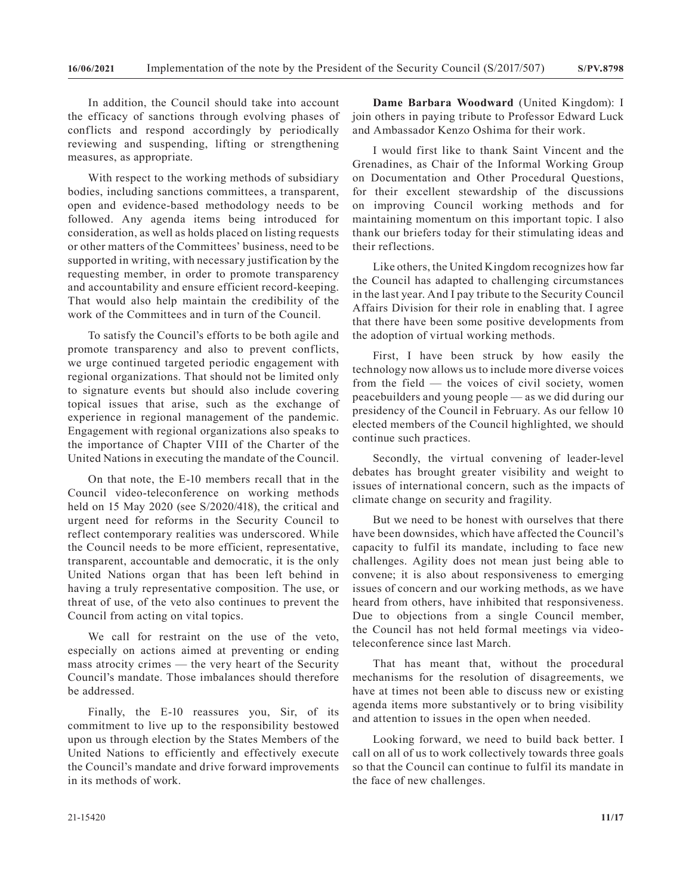In addition, the Council should take into account the efficacy of sanctions through evolving phases of conflicts and respond accordingly by periodically reviewing and suspending, lifting or strengthening measures, as appropriate.

With respect to the working methods of subsidiary bodies, including sanctions committees, a transparent, open and evidence-based methodology needs to be followed. Any agenda items being introduced for consideration, as well as holds placed on listing requests or other matters of the Committees' business, need to be supported in writing, with necessary justification by the requesting member, in order to promote transparency and accountability and ensure efficient record-keeping. That would also help maintain the credibility of the work of the Committees and in turn of the Council.

To satisfy the Council's efforts to be both agile and promote transparency and also to prevent conflicts, we urge continued targeted periodic engagement with regional organizations. That should not be limited only to signature events but should also include covering topical issues that arise, such as the exchange of experience in regional management of the pandemic. Engagement with regional organizations also speaks to the importance of Chapter VIII of the Charter of the United Nations in executing the mandate of the Council.

On that note, the E-10 members recall that in the Council video-teleconference on working methods held on 15 May 2020 (see S/2020/418), the critical and urgent need for reforms in the Security Council to reflect contemporary realities was underscored. While the Council needs to be more efficient, representative, transparent, accountable and democratic, it is the only United Nations organ that has been left behind in having a truly representative composition. The use, or threat of use, of the veto also continues to prevent the Council from acting on vital topics.

We call for restraint on the use of the veto, especially on actions aimed at preventing or ending mass atrocity crimes — the very heart of the Security Council's mandate. Those imbalances should therefore be addressed.

Finally, the E-10 reassures you, Sir, of its commitment to live up to the responsibility bestowed upon us through election by the States Members of the United Nations to efficiently and effectively execute the Council's mandate and drive forward improvements in its methods of work.

**Dame Barbara Woodward** (United Kingdom): I join others in paying tribute to Professor Edward Luck and Ambassador Kenzo Oshima for their work.

I would first like to thank Saint Vincent and the Grenadines, as Chair of the Informal Working Group on Documentation and Other Procedural Questions, for their excellent stewardship of the discussions on improving Council working methods and for maintaining momentum on this important topic. I also thank our briefers today for their stimulating ideas and their reflections.

Like others, the United Kingdom recognizes how far the Council has adapted to challenging circumstances in the last year. And I pay tribute to the Security Council Affairs Division for their role in enabling that. I agree that there have been some positive developments from the adoption of virtual working methods.

First, I have been struck by how easily the technology now allows us to include more diverse voices from the field — the voices of civil society, women peacebuilders and young people — as we did during our presidency of the Council in February. As our fellow 10 elected members of the Council highlighted, we should continue such practices.

Secondly, the virtual convening of leader-level debates has brought greater visibility and weight to issues of international concern, such as the impacts of climate change on security and fragility.

But we need to be honest with ourselves that there have been downsides, which have affected the Council's capacity to fulfil its mandate, including to face new challenges. Agility does not mean just being able to convene; it is also about responsiveness to emerging issues of concern and our working methods, as we have heard from others, have inhibited that responsiveness. Due to objections from a single Council member, the Council has not held formal meetings via videoteleconference since last March.

That has meant that, without the procedural mechanisms for the resolution of disagreements, we have at times not been able to discuss new or existing agenda items more substantively or to bring visibility and attention to issues in the open when needed.

Looking forward, we need to build back better. I call on all of us to work collectively towards three goals so that the Council can continue to fulfil its mandate in the face of new challenges.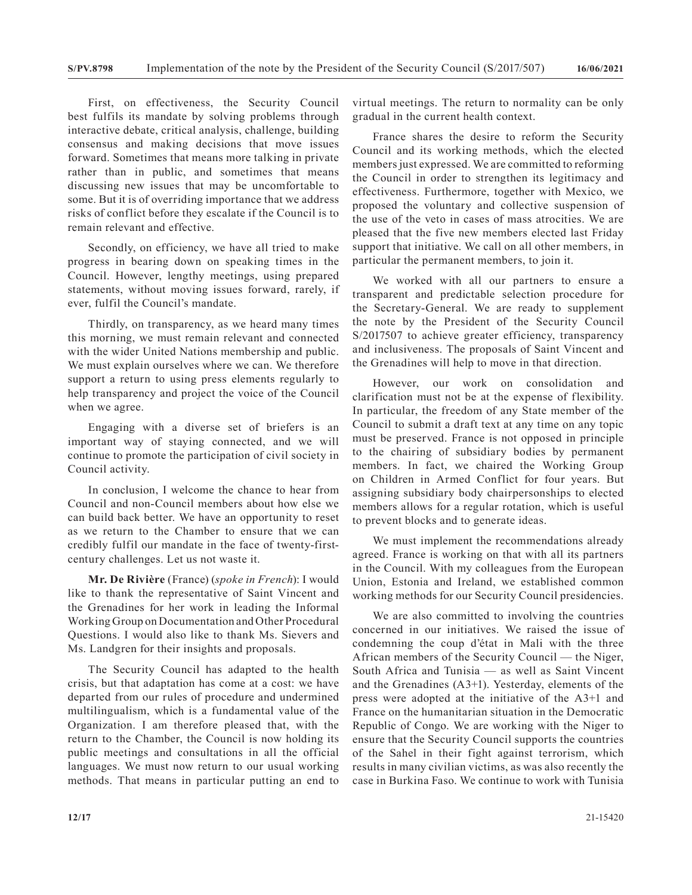First, on effectiveness, the Security Council best fulfils its mandate by solving problems through interactive debate, critical analysis, challenge, building consensus and making decisions that move issues forward. Sometimes that means more talking in private rather than in public, and sometimes that means discussing new issues that may be uncomfortable to some. But it is of overriding importance that we address risks of conflict before they escalate if the Council is to remain relevant and effective.

Secondly, on efficiency, we have all tried to make progress in bearing down on speaking times in the Council. However, lengthy meetings, using prepared statements, without moving issues forward, rarely, if ever, fulfil the Council's mandate.

Thirdly, on transparency, as we heard many times this morning, we must remain relevant and connected with the wider United Nations membership and public. We must explain ourselves where we can. We therefore support a return to using press elements regularly to help transparency and project the voice of the Council when we agree.

Engaging with a diverse set of briefers is an important way of staying connected, and we will continue to promote the participation of civil society in Council activity.

In conclusion, I welcome the chance to hear from Council and non-Council members about how else we can build back better. We have an opportunity to reset as we return to the Chamber to ensure that we can credibly fulfil our mandate in the face of twenty-firstcentury challenges. Let us not waste it.

**Mr. De Rivière** (France) (*spoke in French*): I would like to thank the representative of Saint Vincent and the Grenadines for her work in leading the Informal Working Group on Documentation and Other Procedural Questions. I would also like to thank Ms. Sievers and Ms. Landgren for their insights and proposals.

The Security Council has adapted to the health crisis, but that adaptation has come at a cost: we have departed from our rules of procedure and undermined multilingualism, which is a fundamental value of the Organization. I am therefore pleased that, with the return to the Chamber, the Council is now holding its public meetings and consultations in all the official languages. We must now return to our usual working methods. That means in particular putting an end to virtual meetings. The return to normality can be only gradual in the current health context.

France shares the desire to reform the Security Council and its working methods, which the elected members just expressed. We are committed to reforming the Council in order to strengthen its legitimacy and effectiveness. Furthermore, together with Mexico, we proposed the voluntary and collective suspension of the use of the veto in cases of mass atrocities. We are pleased that the five new members elected last Friday support that initiative. We call on all other members, in particular the permanent members, to join it.

We worked with all our partners to ensure a transparent and predictable selection procedure for the Secretary-General. We are ready to supplement the note by the President of the Security Council S/2017507 to achieve greater efficiency, transparency and inclusiveness. The proposals of Saint Vincent and the Grenadines will help to move in that direction.

However, our work on consolidation and clarification must not be at the expense of flexibility. In particular, the freedom of any State member of the Council to submit a draft text at any time on any topic must be preserved. France is not opposed in principle to the chairing of subsidiary bodies by permanent members. In fact, we chaired the Working Group on Children in Armed Conflict for four years. But assigning subsidiary body chairpersonships to elected members allows for a regular rotation, which is useful to prevent blocks and to generate ideas.

We must implement the recommendations already agreed. France is working on that with all its partners in the Council. With my colleagues from the European Union, Estonia and Ireland, we established common working methods for our Security Council presidencies.

We are also committed to involving the countries concerned in our initiatives. We raised the issue of condemning the coup d'état in Mali with the three African members of the Security Council — the Niger, South Africa and Tunisia — as well as Saint Vincent and the Grenadines (A3+1). Yesterday, elements of the press were adopted at the initiative of the A3+1 and France on the humanitarian situation in the Democratic Republic of Congo. We are working with the Niger to ensure that the Security Council supports the countries of the Sahel in their fight against terrorism, which results in many civilian victims, as was also recently the case in Burkina Faso. We continue to work with Tunisia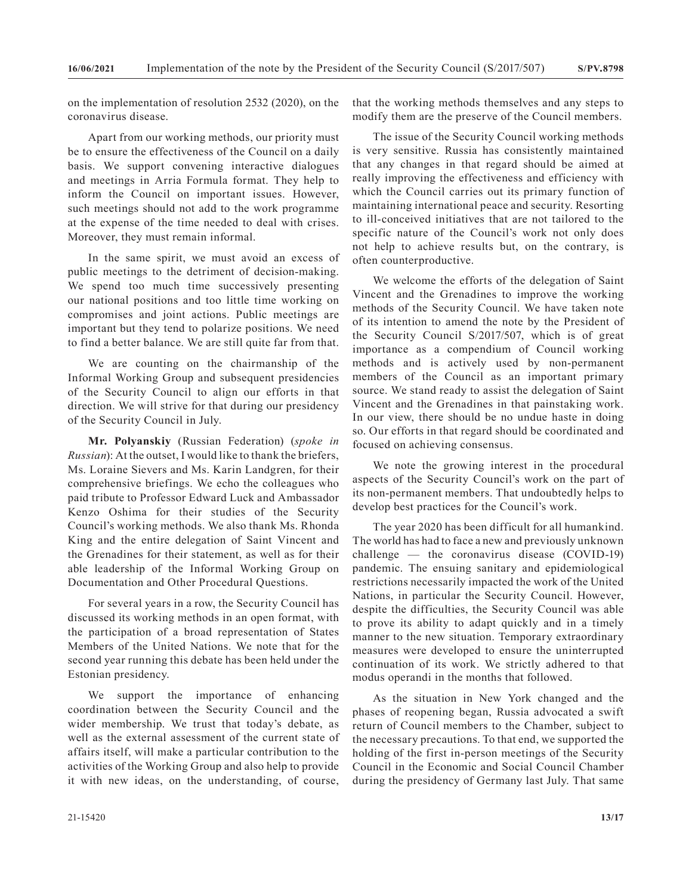on the implementation of resolution 2532 (2020), on the coronavirus disease.

Apart from our working methods, our priority must be to ensure the effectiveness of the Council on a daily basis. We support convening interactive dialogues and meetings in Arria Formula format. They help to inform the Council on important issues. However, such meetings should not add to the work programme at the expense of the time needed to deal with crises. Moreover, they must remain informal.

In the same spirit, we must avoid an excess of public meetings to the detriment of decision-making. We spend too much time successively presenting our national positions and too little time working on compromises and joint actions. Public meetings are important but they tend to polarize positions. We need to find a better balance. We are still quite far from that.

We are counting on the chairmanship of the Informal Working Group and subsequent presidencies of the Security Council to align our efforts in that direction. We will strive for that during our presidency of the Security Council in July.

**Mr. Polyanskiy** (Russian Federation) (*spoke in Russian*): At the outset, I would like to thank the briefers, Ms. Loraine Sievers and Ms. Karin Landgren, for their comprehensive briefings. We echo the colleagues who paid tribute to Professor Edward Luck and Ambassador Kenzo Oshima for their studies of the Security Council's working methods. We also thank Ms. Rhonda King and the entire delegation of Saint Vincent and the Grenadines for their statement, as well as for their able leadership of the Informal Working Group on Documentation and Other Procedural Questions.

For several years in a row, the Security Council has discussed its working methods in an open format, with the participation of a broad representation of States Members of the United Nations. We note that for the second year running this debate has been held under the Estonian presidency.

We support the importance of enhancing coordination between the Security Council and the wider membership. We trust that today's debate, as well as the external assessment of the current state of affairs itself, will make a particular contribution to the activities of the Working Group and also help to provide it with new ideas, on the understanding, of course,

that the working methods themselves and any steps to modify them are the preserve of the Council members.

The issue of the Security Council working methods is very sensitive. Russia has consistently maintained that any changes in that regard should be aimed at really improving the effectiveness and efficiency with which the Council carries out its primary function of maintaining international peace and security. Resorting to ill-conceived initiatives that are not tailored to the specific nature of the Council's work not only does not help to achieve results but, on the contrary, is often counterproductive.

We welcome the efforts of the delegation of Saint Vincent and the Grenadines to improve the working methods of the Security Council. We have taken note of its intention to amend the note by the President of the Security Council S/2017/507, which is of great importance as a compendium of Council working methods and is actively used by non-permanent members of the Council as an important primary source. We stand ready to assist the delegation of Saint Vincent and the Grenadines in that painstaking work. In our view, there should be no undue haste in doing so. Our efforts in that regard should be coordinated and focused on achieving consensus.

We note the growing interest in the procedural aspects of the Security Council's work on the part of its non-permanent members. That undoubtedly helps to develop best practices for the Council's work.

The year 2020 has been difficult for all humankind. The world has had to face a new and previously unknown challenge — the coronavirus disease (COVID-19) pandemic. The ensuing sanitary and epidemiological restrictions necessarily impacted the work of the United Nations, in particular the Security Council. However, despite the difficulties, the Security Council was able to prove its ability to adapt quickly and in a timely manner to the new situation. Temporary extraordinary measures were developed to ensure the uninterrupted continuation of its work. We strictly adhered to that modus operandi in the months that followed.

As the situation in New York changed and the phases of reopening began, Russia advocated a swift return of Council members to the Chamber, subject to the necessary precautions. To that end, we supported the holding of the first in-person meetings of the Security Council in the Economic and Social Council Chamber during the presidency of Germany last July. That same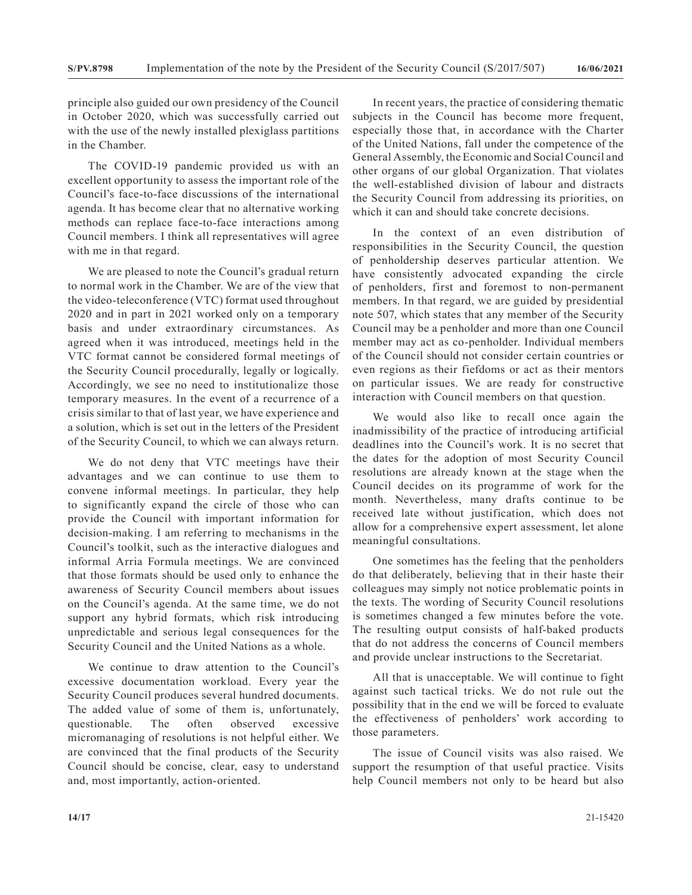principle also guided our own presidency of the Council in October 2020, which was successfully carried out with the use of the newly installed plexiglass partitions in the Chamber.

The COVID-19 pandemic provided us with an excellent opportunity to assess the important role of the Council's face-to-face discussions of the international agenda. It has become clear that no alternative working methods can replace face-to-face interactions among Council members. I think all representatives will agree with me in that regard.

We are pleased to note the Council's gradual return to normal work in the Chamber. We are of the view that the video-teleconference (VTC) format used throughout 2020 and in part in 2021 worked only on a temporary basis and under extraordinary circumstances. As agreed when it was introduced, meetings held in the VTC format cannot be considered formal meetings of the Security Council procedurally, legally or logically. Accordingly, we see no need to institutionalize those temporary measures. In the event of a recurrence of a crisis similar to that of last year, we have experience and a solution, which is set out in the letters of the President of the Security Council, to which we can always return.

We do not deny that VTC meetings have their advantages and we can continue to use them to convene informal meetings. In particular, they help to significantly expand the circle of those who can provide the Council with important information for decision-making. I am referring to mechanisms in the Council's toolkit, such as the interactive dialogues and informal Arria Formula meetings. We are convinced that those formats should be used only to enhance the awareness of Security Council members about issues on the Council's agenda. At the same time, we do not support any hybrid formats, which risk introducing unpredictable and serious legal consequences for the Security Council and the United Nations as a whole.

We continue to draw attention to the Council's excessive documentation workload. Every year the Security Council produces several hundred documents. The added value of some of them is, unfortunately, questionable. The often observed excessive micromanaging of resolutions is not helpful either. We are convinced that the final products of the Security Council should be concise, clear, easy to understand and, most importantly, action-oriented.

In recent years, the practice of considering thematic subjects in the Council has become more frequent, especially those that, in accordance with the Charter of the United Nations, fall under the competence of the General Assembly, the Economic and Social Council and other organs of our global Organization. That violates the well-established division of labour and distracts the Security Council from addressing its priorities, on which it can and should take concrete decisions.

In the context of an even distribution of responsibilities in the Security Council, the question of penholdership deserves particular attention. We have consistently advocated expanding the circle of penholders, first and foremost to non-permanent members. In that regard, we are guided by presidential note 507, which states that any member of the Security Council may be a penholder and more than one Council member may act as co-penholder. Individual members of the Council should not consider certain countries or even regions as their fiefdoms or act as their mentors on particular issues. We are ready for constructive interaction with Council members on that question.

We would also like to recall once again the inadmissibility of the practice of introducing artificial deadlines into the Council's work. It is no secret that the dates for the adoption of most Security Council resolutions are already known at the stage when the Council decides on its programme of work for the month. Nevertheless, many drafts continue to be received late without justification, which does not allow for a comprehensive expert assessment, let alone meaningful consultations.

One sometimes has the feeling that the penholders do that deliberately, believing that in their haste their colleagues may simply not notice problematic points in the texts. The wording of Security Council resolutions is sometimes changed a few minutes before the vote. The resulting output consists of half-baked products that do not address the concerns of Council members and provide unclear instructions to the Secretariat.

All that is unacceptable. We will continue to fight against such tactical tricks. We do not rule out the possibility that in the end we will be forced to evaluate the effectiveness of penholders' work according to those parameters.

The issue of Council visits was also raised. We support the resumption of that useful practice. Visits help Council members not only to be heard but also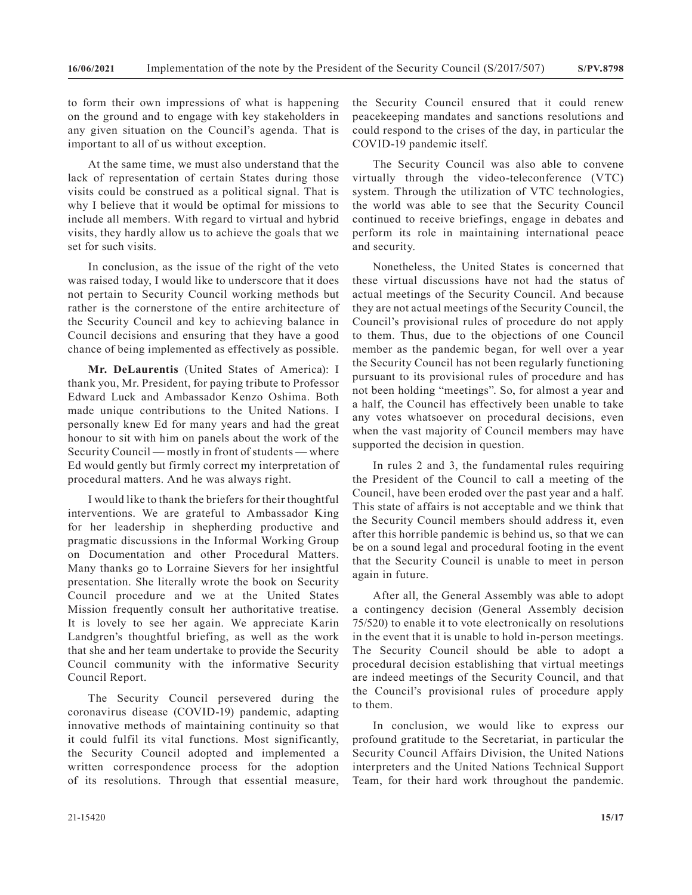to form their own impressions of what is happening on the ground and to engage with key stakeholders in any given situation on the Council's agenda. That is important to all of us without exception.

At the same time, we must also understand that the lack of representation of certain States during those visits could be construed as a political signal. That is why I believe that it would be optimal for missions to include all members. With regard to virtual and hybrid visits, they hardly allow us to achieve the goals that we set for such visits.

In conclusion, as the issue of the right of the veto was raised today, I would like to underscore that it does not pertain to Security Council working methods but rather is the cornerstone of the entire architecture of the Security Council and key to achieving balance in Council decisions and ensuring that they have a good chance of being implemented as effectively as possible.

**Mr. DeLaurentis** (United States of America): I thank you, Mr. President, for paying tribute to Professor Edward Luck and Ambassador Kenzo Oshima. Both made unique contributions to the United Nations. I personally knew Ed for many years and had the great honour to sit with him on panels about the work of the Security Council — mostly in front of students — where Ed would gently but firmly correct my interpretation of procedural matters. And he was always right.

I would like to thank the briefers for their thoughtful interventions. We are grateful to Ambassador King for her leadership in shepherding productive and pragmatic discussions in the Informal Working Group on Documentation and other Procedural Matters. Many thanks go to Lorraine Sievers for her insightful presentation. She literally wrote the book on Security Council procedure and we at the United States Mission frequently consult her authoritative treatise. It is lovely to see her again. We appreciate Karin Landgren's thoughtful briefing, as well as the work that she and her team undertake to provide the Security Council community with the informative Security Council Report.

The Security Council persevered during the coronavirus disease (COVID-19) pandemic, adapting innovative methods of maintaining continuity so that it could fulfil its vital functions. Most significantly, the Security Council adopted and implemented a written correspondence process for the adoption of its resolutions. Through that essential measure,

the Security Council ensured that it could renew peacekeeping mandates and sanctions resolutions and could respond to the crises of the day, in particular the COVID-19 pandemic itself.

The Security Council was also able to convene virtually through the video-teleconference (VTC) system. Through the utilization of VTC technologies, the world was able to see that the Security Council continued to receive briefings, engage in debates and perform its role in maintaining international peace and security.

Nonetheless, the United States is concerned that these virtual discussions have not had the status of actual meetings of the Security Council. And because they are not actual meetings of the Security Council, the Council's provisional rules of procedure do not apply to them. Thus, due to the objections of one Council member as the pandemic began, for well over a year the Security Council has not been regularly functioning pursuant to its provisional rules of procedure and has not been holding "meetings". So, for almost a year and a half, the Council has effectively been unable to take any votes whatsoever on procedural decisions, even when the vast majority of Council members may have supported the decision in question.

In rules 2 and 3, the fundamental rules requiring the President of the Council to call a meeting of the Council, have been eroded over the past year and a half. This state of affairs is not acceptable and we think that the Security Council members should address it, even after this horrible pandemic is behind us, so that we can be on a sound legal and procedural footing in the event that the Security Council is unable to meet in person again in future.

After all, the General Assembly was able to adopt a contingency decision (General Assembly decision 75/520) to enable it to vote electronically on resolutions in the event that it is unable to hold in-person meetings. The Security Council should be able to adopt a procedural decision establishing that virtual meetings are indeed meetings of the Security Council, and that the Council's provisional rules of procedure apply to them.

In conclusion, we would like to express our profound gratitude to the Secretariat, in particular the Security Council Affairs Division, the United Nations interpreters and the United Nations Technical Support Team, for their hard work throughout the pandemic.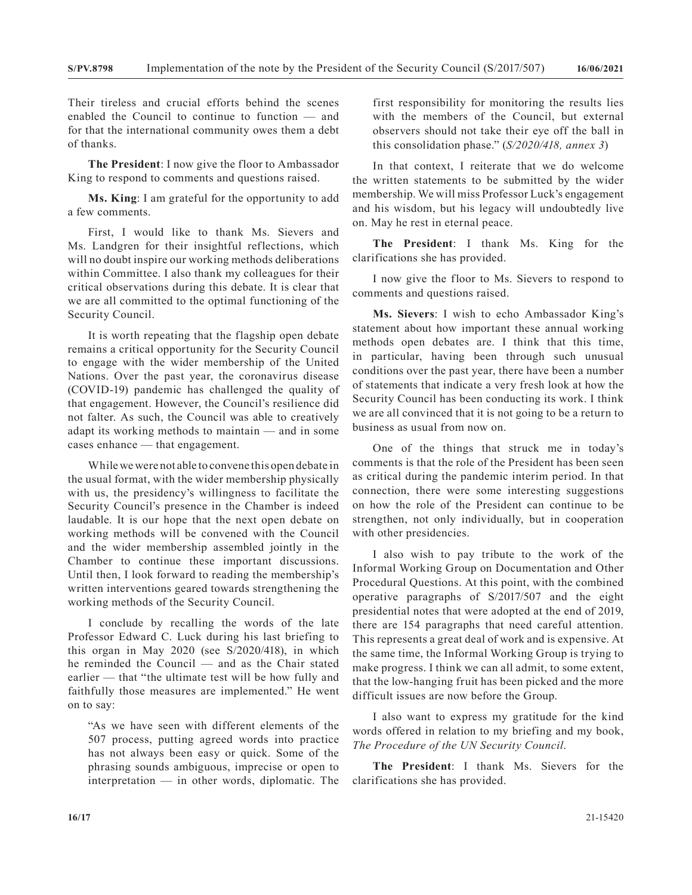Their tireless and crucial efforts behind the scenes enabled the Council to continue to function — and for that the international community owes them a debt of thanks.

**The President**: I now give the floor to Ambassador King to respond to comments and questions raised.

**Ms. King**: I am grateful for the opportunity to add a few comments.

First, I would like to thank Ms. Sievers and Ms. Landgren for their insightful reflections, which will no doubt inspire our working methods deliberations within Committee. I also thank my colleagues for their critical observations during this debate. It is clear that we are all committed to the optimal functioning of the Security Council.

It is worth repeating that the flagship open debate remains a critical opportunity for the Security Council to engage with the wider membership of the United Nations. Over the past year, the coronavirus disease (COVID-19) pandemic has challenged the quality of that engagement. However, the Council's resilience did not falter. As such, the Council was able to creatively adapt its working methods to maintain — and in some cases enhance — that engagement.

While we were not able to convene this open debate in the usual format, with the wider membership physically with us, the presidency's willingness to facilitate the Security Council's presence in the Chamber is indeed laudable. It is our hope that the next open debate on working methods will be convened with the Council and the wider membership assembled jointly in the Chamber to continue these important discussions. Until then, I look forward to reading the membership's written interventions geared towards strengthening the working methods of the Security Council.

I conclude by recalling the words of the late Professor Edward C. Luck during his last briefing to this organ in May 2020 (see S/2020/418), in which he reminded the Council — and as the Chair stated earlier — that "the ultimate test will be how fully and faithfully those measures are implemented." He went on to say:

"As we have seen with different elements of the 507 process, putting agreed words into practice has not always been easy or quick. Some of the phrasing sounds ambiguous, imprecise or open to interpretation — in other words, diplomatic. The

first responsibility for monitoring the results lies with the members of the Council, but external observers should not take their eye off the ball in this consolidation phase." (*S/2020/418, annex 3*)

In that context, I reiterate that we do welcome the written statements to be submitted by the wider membership. We will miss Professor Luck's engagement and his wisdom, but his legacy will undoubtedly live on. May he rest in eternal peace.

**The President**: I thank Ms. King for the clarifications she has provided.

I now give the floor to Ms. Sievers to respond to comments and questions raised.

**Ms. Sievers**: I wish to echo Ambassador King's statement about how important these annual working methods open debates are. I think that this time, in particular, having been through such unusual conditions over the past year, there have been a number of statements that indicate a very fresh look at how the Security Council has been conducting its work. I think we are all convinced that it is not going to be a return to business as usual from now on.

One of the things that struck me in today's comments is that the role of the President has been seen as critical during the pandemic interim period. In that connection, there were some interesting suggestions on how the role of the President can continue to be strengthen, not only individually, but in cooperation with other presidencies.

I also wish to pay tribute to the work of the Informal Working Group on Documentation and Other Procedural Questions. At this point, with the combined operative paragraphs of S/2017/507 and the eight presidential notes that were adopted at the end of 2019, there are 154 paragraphs that need careful attention. This represents a great deal of work and is expensive. At the same time, the Informal Working Group is trying to make progress. I think we can all admit, to some extent, that the low-hanging fruit has been picked and the more difficult issues are now before the Group.

I also want to express my gratitude for the kind words offered in relation to my briefing and my book, *The Procedure of the UN Security Council*.

**The President**: I thank Ms. Sievers for the clarifications she has provided.